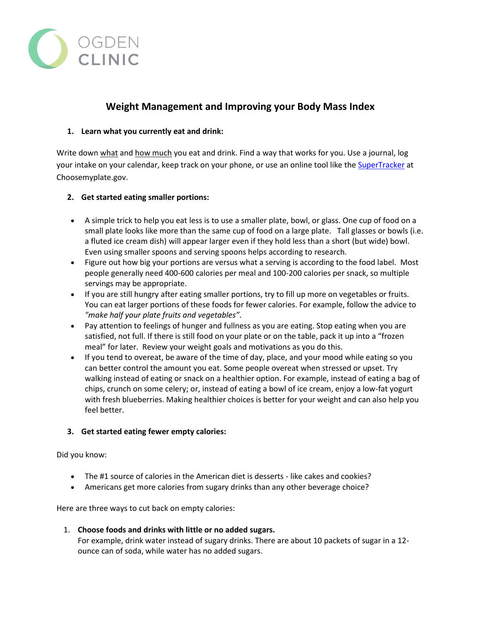

# **Weight Management and Improving your Body Mass Index**

## **1. Learn what you currently eat and drink:**

Write down what and how much you eat and drink. Find a way that works for you. Use a journal, log your intake on your calendar, keep track on your phone, or use an online tool like the [SuperTracker](http://www.choosemyplate.gov/supertracker-tools.html) at Choosemyplate.gov.

## **2. Get started eating smaller portions:**

- A simple trick to help you eat less is to use a smaller plate, bowl, or glass. One cup of food on a small plate looks like more than the same cup of food on a large plate. Tall glasses or bowls (i.e. a fluted ice cream dish) will appear larger even if they hold less than a short (but wide) bowl. Even using smaller spoons and serving spoons helps according to research.
- Figure out how big your portions are versus what a serving is according to the food label. Most people generally need 400-600 calories per meal and 100-200 calories per snack, so multiple servings may be appropriate.
- If you are still hungry after eating smaller portions, try to fill up more on vegetables or fruits. You can eat larger portions of these foods for fewer calories. For example, follow the advice to *"make half your plate fruits and vegetables"*.
- Pay attention to feelings of hunger and fullness as you are eating. Stop eating when you are satisfied, not full. If there is still food on your plate or on the table, pack it up into a "frozen meal" for later. Review your weight goals and motivations as you do this.
- If you tend to overeat, be aware of the time of day, place, and your mood while eating so you can better control the amount you eat. Some people overeat when stressed or upset. Try walking instead of eating or snack on a healthier option. For example, instead of eating a bag of chips, crunch on some celery; or, instead of eating a bowl of ice cream, enjoy a low-fat yogurt with fresh blueberries. Making healthier choices is better for your weight and can also help you feel better.

# **3. Get started eating fewer empty calories:**

Did you know:

- The #1 source of calories in the American diet is desserts like cakes and cookies?
- Americans get more calories from sugary drinks than any other beverage choice?

Here are three ways to cut back on empty calories:

1. **Choose foods and drinks with little or no added sugars.** For example, drink water instead of sugary drinks. There are about 10 packets of sugar in a 12 ounce can of soda, while water has no added sugars.